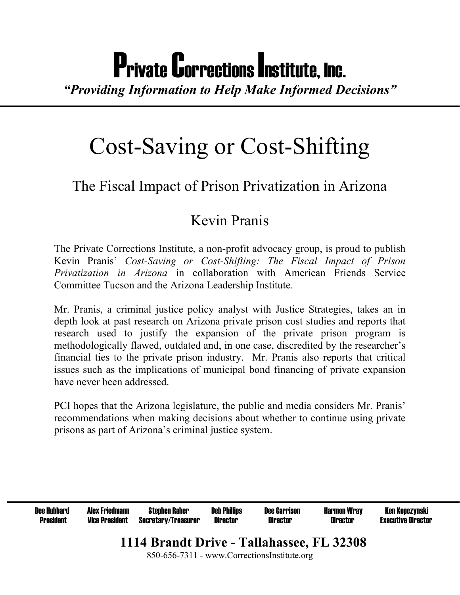# Private Corrections Institute, Inc.

*"Providing Information to Help Make Informed Decisions"* 

## Cost-Saving or Cost-Shifting

## The Fiscal Impact of Prison Privatization in Arizona

### Kevin Pranis

The Private Corrections Institute, a non-profit advocacy group, is proud to publish Kevin Pranis<sup>'</sup> Cost-Saving or Cost-Shifting: The Fiscal Impact of Prison *Privatization in Arizona* in collaboration with American Friends Service Committee Tucson and the Arizona Leadership Institute.

Mr. Pranis, a criminal justice policy analyst with Justice Strategies, takes an in depth look at past research on Arizona private prison cost studies and reports that research used to justify the expansion of the private prison program is methodologically flawed, outdated and, in one case, discredited by the researcher's financial ties to the private prison industry. Mr. Pranis also reports that critical issues such as the implications of municipal bond financing of private expansion have never been addressed.

PCI hopes that the Arizona legislature, the public and media considers Mr. Pranis' recommendations when making decisions about whether to continue using private prisons as part of Arizona's criminal justice system.

| <b>Dee Hubbard</b>                                                                       | <b>Alex Friedmann</b> | Stephen Raher              | <b>Deb Phillips</b> | <b>Dee Garrison</b> | <b>Harmon Wray</b> | Ken Kopczynski            |
|------------------------------------------------------------------------------------------|-----------------------|----------------------------|---------------------|---------------------|--------------------|---------------------------|
| <b>President</b>                                                                         | <b>Vice President</b> | <b>Secretary/Treasurer</b> | Director            | <b>Director</b>     | Director           | <b>Executive Director</b> |
| 1114 Brandt Drive - Tallahassee, FL 32308<br>850-656-7311 - www.CorrectionsInstitute.org |                       |                            |                     |                     |                    |                           |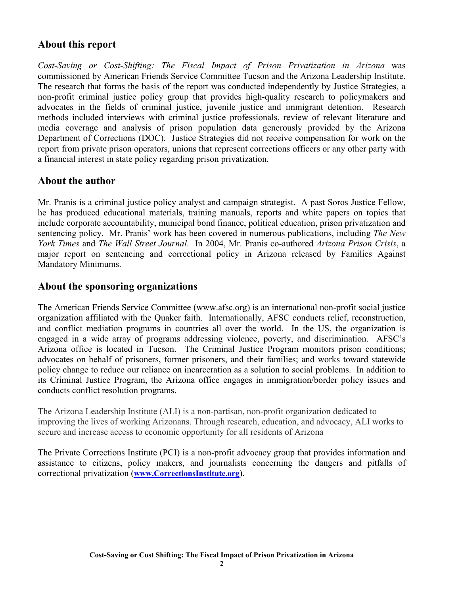#### **About this report**

*Cost-Saving or Cost-Shifting: The Fiscal Impact of Prison Privatization in Arizona* was commissioned by American Friends Service Committee Tucson and the Arizona Leadership Institute. The research that forms the basis of the report was conducted independently by Justice Strategies, a non-profit criminal justice policy group that provides high-quality research to policymakers and advocates in the fields of criminal justice, juvenile justice and immigrant detention. Research methods included interviews with criminal justice professionals, review of relevant literature and media coverage and analysis of prison population data generously provided by the Arizona Department of Corrections (DOC). Justice Strategies did not receive compensation for work on the report from private prison operators, unions that represent corrections officers or any other party with a financial interest in state policy regarding prison privatization.

#### **About the author**

Mr. Pranis is a criminal justice policy analyst and campaign strategist. A past Soros Justice Fellow, he has produced educational materials, training manuals, reports and white papers on topics that include corporate accountability, municipal bond finance, political education, prison privatization and sentencing policy. Mr. Pranis' work has been covered in numerous publications, including *The New York Times* and *The Wall Street Journal*. In 2004, Mr. Pranis co-authored *Arizona Prison Crisis*, a major report on sentencing and correctional policy in Arizona released by Families Against Mandatory Minimums.

#### **About the sponsoring organizations**

The American Friends Service Committee (www.afsc.org) is an international non-profit social justice organization affiliated with the Quaker faith. Internationally, AFSC conducts relief, reconstruction, and conflict mediation programs in countries all over the world. In the US, the organization is engaged in a wide array of programs addressing violence, poverty, and discrimination. AFSC's Arizona office is located in Tucson. The Criminal Justice Program monitors prison conditions; advocates on behalf of prisoners, former prisoners, and their families; and works toward statewide policy change to reduce our reliance on incarceration as a solution to social problems. In addition to its Criminal Justice Program, the Arizona office engages in immigration/border policy issues and conducts conflict resolution programs.

The Arizona Leadership Institute (ALI) is a non-partisan, non-profit organization dedicated to improving the lives of working Arizonans. Through research, education, and advocacy, ALI works to secure and increase access to economic opportunity for all residents of Arizona

The Private Corrections Institute (PCI) is a non-profit advocacy group that provides information and assistance to citizens, policy makers, and journalists concerning the dangers and pitfalls of correctional privatization (**www.CorrectionsInstitute.org**).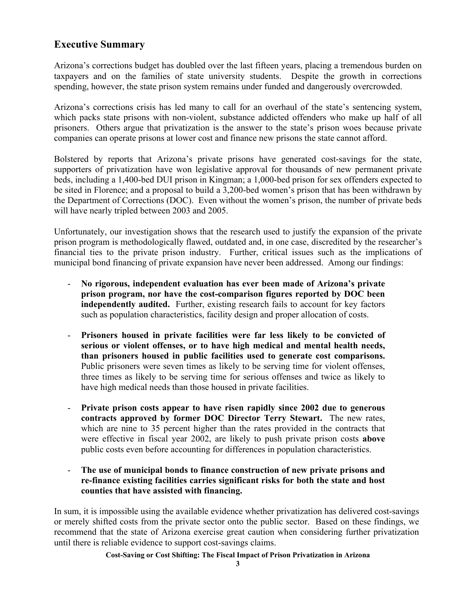#### **Executive Summary**

Arizona's corrections budget has doubled over the last fifteen years, placing a tremendous burden on taxpayers and on the families of state university students. Despite the growth in corrections spending, however, the state prison system remains under funded and dangerously overcrowded.

Arizona's corrections crisis has led many to call for an overhaul of the state's sentencing system, which packs state prisons with non-violent, substance addicted offenders who make up half of all prisoners. Others argue that privatization is the answer to the state's prison woes because private companies can operate prisons at lower cost and finance new prisons the state cannot afford.

Bolstered by reports that Arizona's private prisons have generated cost-savings for the state, supporters of privatization have won legislative approval for thousands of new permanent private beds, including a 1,400-bed DUI prison in Kingman; a 1,000-bed prison for sex offenders expected to be sited in Florence; and a proposal to build a 3,200-bed women's prison that has been withdrawn by the Department of Corrections (DOC). Even without the women's prison, the number of private beds will have nearly tripled between 2003 and 2005.

Unfortunately, our investigation shows that the research used to justify the expansion of the private prison program is methodologically flawed, outdated and, in one case, discredited by the researcher's financial ties to the private prison industry. Further, critical issues such as the implications of municipal bond financing of private expansion have never been addressed. Among our findings:

- No rigorous, independent evaluation has ever been made of Arizona's private **prison program, nor have the cost-comparison figures reported by DOC been independently audited.** Further, existing research fails to account for key factors such as population characteristics, facility design and proper allocation of costs.
- **Prisoners housed in private facilities were far less likely to be convicted of serious or violent offenses, or to have high medical and mental health needs, than prisoners housed in public facilities used to generate cost comparisons.** Public prisoners were seven times as likely to be serving time for violent offenses, three times as likely to be serving time for serious offenses and twice as likely to have high medical needs than those housed in private facilities.
- **Private prison costs appear to have risen rapidly since 2002 due to generous contracts approved by former DOC Director Terry Stewart.** The new rates, which are nine to 35 percent higher than the rates provided in the contracts that were effective in fiscal year 2002, are likely to push private prison costs **above** public costs even before accounting for differences in population characteristics.
- **The use of municipal bonds to finance construction of new private prisons and re-finance existing facilities carries significant risks for both the state and host counties that have assisted with financing.**

In sum, it is impossible using the available evidence whether privatization has delivered cost-savings or merely shifted costs from the private sector onto the public sector. Based on these findings, we recommend that the state of Arizona exercise great caution when considering further privatization until there is reliable evidence to support cost-savings claims.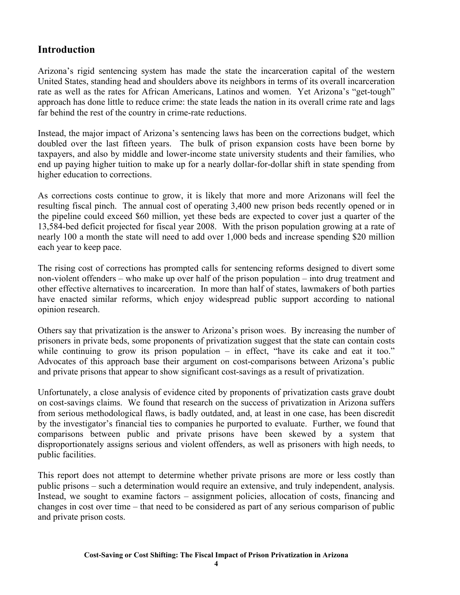#### **Introduction**

Arizona's rigid sentencing system has made the state the incarceration capital of the western United States, standing head and shoulders above its neighbors in terms of its overall incarceration rate as well as the rates for African Americans, Latinos and women. Yet Arizona's "get-tough" approach has done little to reduce crime: the state leads the nation in its overall crime rate and lags far behind the rest of the country in crime-rate reductions.

Instead, the major impact of Arizona's sentencing laws has been on the corrections budget, which doubled over the last fifteen years. The bulk of prison expansion costs have been borne by taxpayers, and also by middle and lower-income state university students and their families, who end up paying higher tuition to make up for a nearly dollar-for-dollar shift in state spending from higher education to corrections.

As corrections costs continue to grow, it is likely that more and more Arizonans will feel the resulting fiscal pinch. The annual cost of operating 3,400 new prison beds recently opened or in the pipeline could exceed \$60 million, yet these beds are expected to cover just a quarter of the 13,584-bed deficit projected for fiscal year 2008. With the prison population growing at a rate of nearly 100 a month the state will need to add over 1,000 beds and increase spending \$20 million each year to keep pace.

The rising cost of corrections has prompted calls for sentencing reforms designed to divert some non-violent offenders  $-$  who make up over half of the prison population  $-$  into drug treatment and other effective alternatives to incarceration. In more than half of states, lawmakers of both parties have enacted similar reforms, which enjoy widespread public support according to national opinion research.

Others say that privatization is the answer to Arizona's prison woes. By increasing the number of prisoners in private beds, some proponents of privatization suggest that the state can contain costs while continuing to grow its prison population  $-$  in effect, "have its cake and eat it too." Advocates of this approach base their argument on cost-comparisons between Arizona's public and private prisons that appear to show significant cost-savings as a result of privatization.

Unfortunately, a close analysis of evidence cited by proponents of privatization casts grave doubt on cost-savings claims. We found that research on the success of privatization in Arizona suffers from serious methodological flaws, is badly outdated, and, at least in one case, has been discredit by the investigator's financial ties to companies he purported to evaluate. Further, we found that comparisons between public and private prisons have been skewed by a system that disproportionately assigns serious and violent offenders, as well as prisoners with high needs, to public facilities.

This report does not attempt to determine whether private prisons are more or less costly than public prisons – such a determination would require an extensive, and truly independent, analysis. Instead, we sought to examine factors – assignment policies, allocation of costs, financing and changes in cost over time  $-$  that need to be considered as part of any serious comparison of public and private prison costs.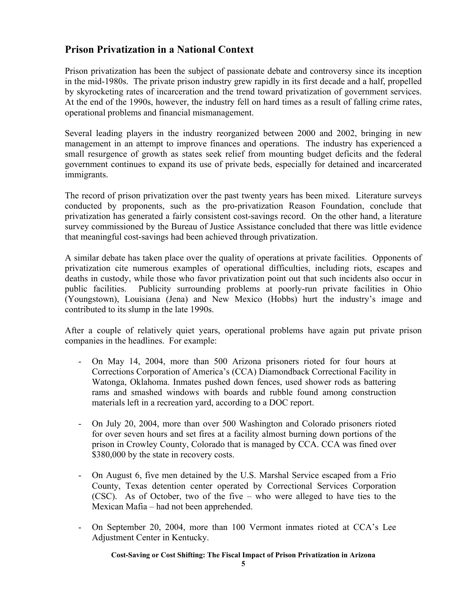#### **Prison Privatization in a National Context**

Prison privatization has been the subject of passionate debate and controversy since its inception in the mid-1980s. The private prison industry grew rapidly in its first decade and a half, propelled by skyrocketing rates of incarceration and the trend toward privatization of government services. At the end of the 1990s, however, the industry fell on hard times as a result of falling crime rates, operational problems and financial mismanagement.

Several leading players in the industry reorganized between 2000 and 2002, bringing in new management in an attempt to improve finances and operations. The industry has experienced a small resurgence of growth as states seek relief from mounting budget deficits and the federal government continues to expand its use of private beds, especially for detained and incarcerated immigrants.

The record of prison privatization over the past twenty years has been mixed. Literature surveys conducted by proponents, such as the pro-privatization Reason Foundation, conclude that privatization has generated a fairly consistent cost-savings record. On the other hand, a literature survey commissioned by the Bureau of Justice Assistance concluded that there was little evidence that meaningful cost-savings had been achieved through privatization.

A similar debate has taken place over the quality of operations at private facilities. Opponents of privatization cite numerous examples of operational difficulties, including riots, escapes and deaths in custody, while those who favor privatization point out that such incidents also occur in public facilities. Publicity surrounding problems at poorly-run private facilities in Ohio (Youngstown), Louisiana (Jena) and New Mexico (Hobbs) hurt the industry's image and contributed to its slump in the late 1990s.

After a couple of relatively quiet years, operational problems have again put private prison companies in the headlines. For example:

- On May 14, 2004, more than 500 Arizona prisoners rioted for four hours at Corrections Corporation of America's (CCA) Diamondback Correctional Facility in Watonga, Oklahoma. Inmates pushed down fences, used shower rods as battering rams and smashed windows with boards and rubble found among construction materials left in a recreation yard, according to a DOC report.
- On July 20, 2004, more than over 500 Washington and Colorado prisoners rioted for over seven hours and set fires at a facility almost burning down portions of the prison in Crowley County, Colorado that is managed by CCA. CCA was fined over \$380,000 by the state in recovery costs.
- On August 6, five men detained by the U.S. Marshal Service escaped from a Frio County, Texas detention center operated by Correctional Services Corporation (CSC). As of October, two of the five  $-$  who were alleged to have ties to the Mexican Mafia – had not been apprehended.
- On September 20, 2004, more than 100 Vermont inmates rioted at CCA's Lee Adjustment Center in Kentucky.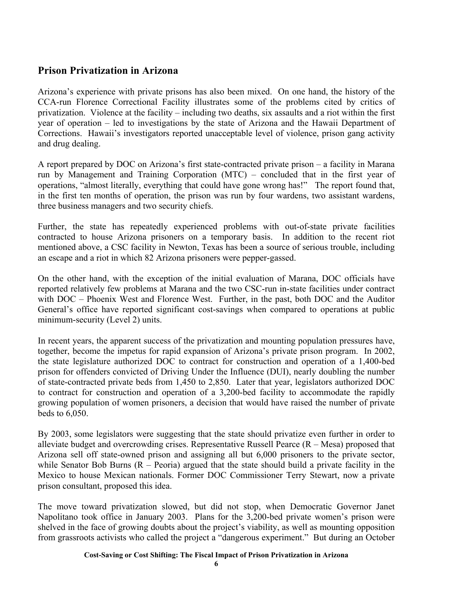#### **Prison Privatization in Arizona**

Arizona's experience with private prisons has also been mixed. On one hand, the history of the CCA-run Florence Correctional Facility illustrates some of the problems cited by critics of privatization. Violence at the facility  $-$  including two deaths, six assaults and a riot within the first year of operation – led to investigations by the state of Arizona and the Hawaii Department of Corrections. Hawaii's investigators reported unacceptable level of violence, prison gang activity and drug dealing.

A report prepared by DOC on Arizona's first state-contracted private prison  $-$  a facility in Marana run by Management and Training Corporation (MTC) – concluded that in the first year of operations, "almost literally, everything that could have gone wrong has!" The report found that, in the first ten months of operation, the prison was run by four wardens, two assistant wardens, three business managers and two security chiefs.

Further, the state has repeatedly experienced problems with out-of-state private facilities contracted to house Arizona prisoners on a temporary basis. In addition to the recent riot mentioned above, a CSC facility in Newton, Texas has been a source of serious trouble, including an escape and a riot in which 82 Arizona prisoners were pepper-gassed.

On the other hand, with the exception of the initial evaluation of Marana, DOC officials have reported relatively few problems at Marana and the two CSC-run in-state facilities under contract with DOC – Phoenix West and Florence West. Further, in the past, both DOC and the Auditor General's office have reported significant cost-savings when compared to operations at public minimum-security (Level 2) units.

In recent years, the apparent success of the privatization and mounting population pressures have, together, become the impetus for rapid expansion of Arizona's private prison program. In 2002, the state legislature authorized DOC to contract for construction and operation of a 1,400-bed prison for offenders convicted of Driving Under the Influence (DUI), nearly doubling the number of state-contracted private beds from 1,450 to 2,850. Later that year, legislators authorized DOC to contract for construction and operation of a 3,200-bed facility to accommodate the rapidly growing population of women prisoners, a decision that would have raised the number of private beds to 6,050.

By 2003, some legislators were suggesting that the state should privatize even further in order to alleviate budget and overcrowding crises. Representative Russell Pearce  $(R - Mesa)$  proposed that Arizona sell off state-owned prison and assigning all but 6,000 prisoners to the private sector, while Senator Bob Burns  $(R - P<sub>e</sub>oria)$  argued that the state should build a private facility in the Mexico to house Mexican nationals. Former DOC Commissioner Terry Stewart, now a private prison consultant, proposed this idea.

The move toward privatization slowed, but did not stop, when Democratic Governor Janet Napolitano took office in January 2003. Plans for the 3,200-bed private women's prison were shelved in the face of growing doubts about the project's viability, as well as mounting opposition from grassroots activists who called the project a "dangerous experiment." But during an October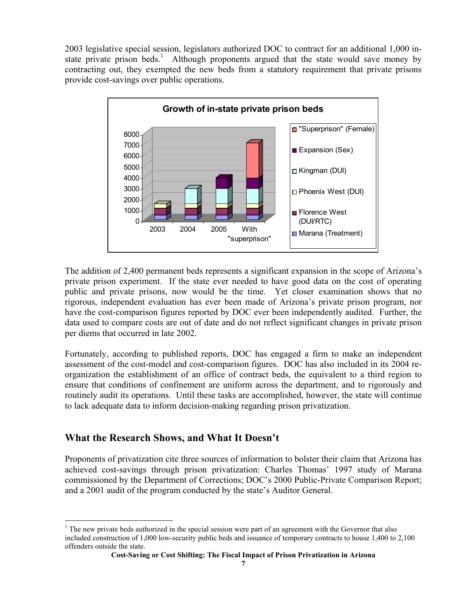2003 legislative special session, legislators authorized DOC to contract for an additional 1,000 instate private prison beds.<sup>1</sup> Although proponents argued that the state would save money by contracting out, they exempted the new beds from a statutory requirement that private prisons provide cost-savings over public operations.



The addition of 2,400 permanent beds represents a significant expansion in the scope of Arizona's private prison experiment. If the state ever needed to have good data on the cost of operating public and private prisons, now would be the time. Yet closer examination shows that no rigorous, independent evaluation has ever been made of Arizona's private prison program, nor have the cost-comparison figures reported by DOC ever been independently audited. Further, the data used to compare costs are out of date and do not reflect significant changes in private prison per diems that occurred in late 2002.

Fortunately, according to published reports, DOC has engaged a firm to make an independent assessment of the cost-model and cost-comparison figures. DOC has also included in its 2004 reorganization the establishment of an office of contract beds, the equivalent to a third region to ensure that conditions of confinement are uniform across the department, and to rigorously and routinely audit its operations. Until these tasks are accomplished, however, the state will continue to lack adequate data to inform decision-making regarding prison privatization.

#### **What the Research Shows, and What It Doesn't**

Proponents of privatization cite three sources of information to bolster their claim that Arizona has achieved cost-savings through prison privatization: Charles Thomas' 1997 study of Marana commissioned by the Department of Corrections; DOC's 2000 Public-Private Comparison Report; and a 2001 audit of the program conducted by the state's Auditor General.

 $\overline{a}$  $<sup>1</sup>$  The new private beds authorized in the special session were part of an agreement with the Governor that also</sup> included construction of 1,000 low-security public beds and issuance of temporary contracts to house 1,400 to 2,100 offenders outside the state.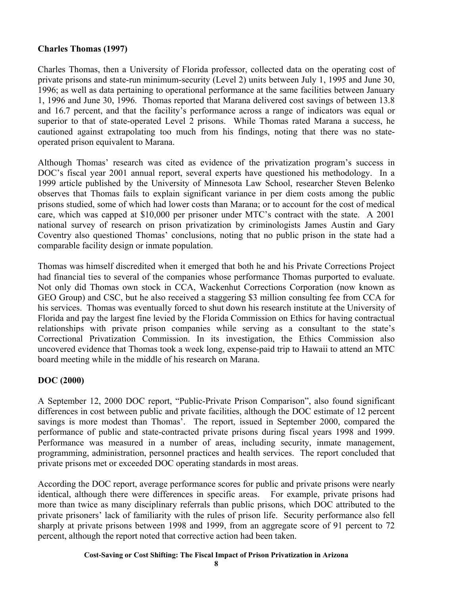#### **Charles Thomas (1997)**

Charles Thomas, then a University of Florida professor, collected data on the operating cost of private prisons and state-run minimum-security (Level 2) units between July 1, 1995 and June 30, 1996; as well as data pertaining to operational performance at the same facilities between January 1, 1996 and June 30, 1996. Thomas reported that Marana delivered cost savings of between 13.8 and 16.7 percent, and that the facility's performance across a range of indicators was equal or superior to that of state-operated Level 2 prisons. While Thomas rated Marana a success, he cautioned against extrapolating too much from his findings, noting that there was no stateoperated prison equivalent to Marana.

Although Thomas' research was cited as evidence of the privatization program's success in DOC's fiscal year 2001 annual report, several experts have questioned his methodology. In a 1999 article published by the University of Minnesota Law School, researcher Steven Belenko observes that Thomas fails to explain significant variance in per diem costs among the public prisons studied, some of which had lower costs than Marana; or to account for the cost of medical care, which was capped at  $$10,000$  per prisoner under MTC's contract with the state. A 2001 national survey of research on prison privatization by criminologists James Austin and Gary Coventry also questioned Thomas' conclusions, noting that no public prison in the state had a comparable facility design or inmate population.

Thomas was himself discredited when it emerged that both he and his Private Corrections Project had financial ties to several of the companies whose performance Thomas purported to evaluate. Not only did Thomas own stock in CCA, Wackenhut Corrections Corporation (now known as GEO Group) and CSC, but he also received a staggering \$3 million consulting fee from CCA for his services. Thomas was eventually forced to shut down his research institute at the University of Florida and pay the largest fine levied by the Florida Commission on Ethics for having contractual relationships with private prison companies while serving as a consultant to the state's Correctional Privatization Commission. In its investigation, the Ethics Commission also uncovered evidence that Thomas took a week long, expense-paid trip to Hawaii to attend an MTC board meeting while in the middle of his research on Marana.

#### **DOC (2000)**

A September 12, 2000 DOC report, "Public-Private Prison Comparison", also found significant differences in cost between public and private facilities, although the DOC estimate of 12 percent savings is more modest than Thomas'. The report, issued in September 2000, compared the performance of public and state-contracted private prisons during fiscal years 1998 and 1999. Performance was measured in a number of areas, including security, inmate management, programming, administration, personnel practices and health services. The report concluded that private prisons met or exceeded DOC operating standards in most areas.

According the DOC report, average performance scores for public and private prisons were nearly identical, although there were differences in specific areas. For example, private prisons had more than twice as many disciplinary referrals than public prisons, which DOC attributed to the private prisoners' lack of familiarity with the rules of prison life. Security performance also fell sharply at private prisons between 1998 and 1999, from an aggregate score of 91 percent to 72 percent, although the report noted that corrective action had been taken.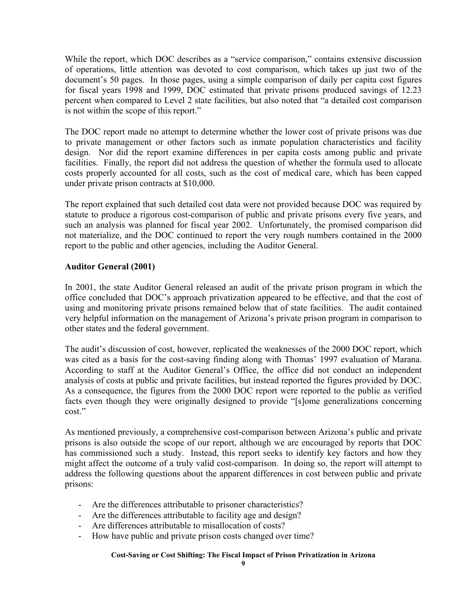While the report, which DOC describes as a "service comparison," contains extensive discussion of operations, little attention was devoted to cost comparison, which takes up just two of the document's 50 pages. In those pages, using a simple comparison of daily per capita cost figures for fiscal years 1998 and 1999, DOC estimated that private prisons produced savings of 12.23 percent when compared to Level 2 state facilities, but also noted that "a detailed cost comparison is not within the scope of this report."

The DOC report made no attempt to determine whether the lower cost of private prisons was due to private management or other factors such as inmate population characteristics and facility design. Nor did the report examine differences in per capita costs among public and private facilities. Finally, the report did not address the question of whether the formula used to allocate costs properly accounted for all costs, such as the cost of medical care, which has been capped under private prison contracts at \$10,000.

The report explained that such detailed cost data were not provided because DOC was required by statute to produce a rigorous cost-comparison of public and private prisons every five years, and such an analysis was planned for fiscal year 2002. Unfortunately, the promised comparison did not materialize, and the DOC continued to report the very rough numbers contained in the 2000 report to the public and other agencies, including the Auditor General.

#### **Auditor General (2001)**

In 2001, the state Auditor General released an audit of the private prison program in which the office concluded that DOC's approach privatization appeared to be effective, and that the cost of using and monitoring private prisons remained below that of state facilities. The audit contained very helpful information on the management of Arizona's private prison program in comparison to other states and the federal government.

The audit's discussion of cost, however, replicated the weaknesses of the 2000 DOC report, which was cited as a basis for the cost-saving finding along with Thomas' 1997 evaluation of Marana. According to staff at the Auditor General's Office, the office did not conduct an independent analysis of costs at public and private facilities, but instead reported the figures provided by DOC. As a consequence, the figures from the 2000 DOC report were reported to the public as verified facts even though they were originally designed to provide "[s]ome generalizations concerning cost<sup>"</sup>

As mentioned previously, a comprehensive cost-comparison between Arizona's public and private prisons is also outside the scope of our report, although we are encouraged by reports that DOC has commissioned such a study. Instead, this report seeks to identify key factors and how they might affect the outcome of a truly valid cost-comparison. In doing so, the report will attempt to address the following questions about the apparent differences in cost between public and private prisons:

- Are the differences attributable to prisoner characteristics?
- Are the differences attributable to facility age and design?
- Are differences attributable to misallocation of costs?
- How have public and private prison costs changed over time?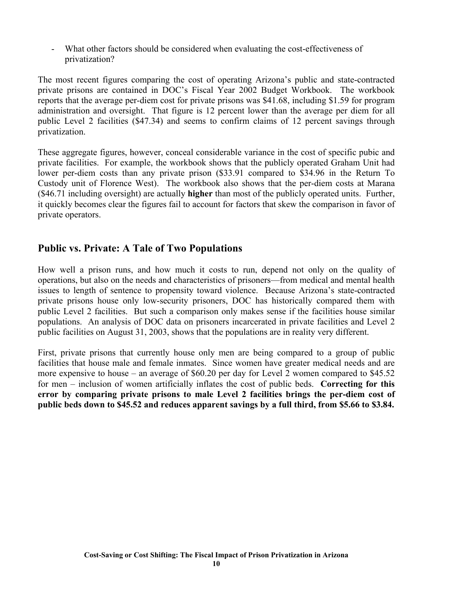- What other factors should be considered when evaluating the cost-effectiveness of privatization?

The most recent figures comparing the cost of operating Arizona's public and state-contracted private prisons are contained in DOC's Fiscal Year 2002 Budget Workbook. The workbook reports that the average per-diem cost for private prisons was \$41.68, including \$1.59 for program administration and oversight. That figure is 12 percent lower than the average per diem for all public Level 2 facilities (\$47.34) and seems to confirm claims of 12 percent savings through privatization.

These aggregate figures, however, conceal considerable variance in the cost of specific pubic and private facilities. For example, the workbook shows that the publicly operated Graham Unit had lower per-diem costs than any private prison (\$33.91 compared to \$34.96 in the Return To Custody unit of Florence West). The workbook also shows that the per-diem costs at Marana (\$46.71 including oversight) are actually **higher** than most of the publicly operated units. Further, it quickly becomes clear the figures fail to account for factors that skew the comparison in favor of private operators.

#### **Public vs. Private: A Tale of Two Populations**

How well a prison runs, and how much it costs to run, depend not only on the quality of operations, but also on the needs and characteristics of prisoners—from medical and mental health issues to length of sentence to propensity toward violence. Because Arizona's state-contracted private prisons house only low-security prisoners, DOC has historically compared them with public Level 2 facilities. But such a comparison only makes sense if the facilities house similar populations. An analysis of DOC data on prisoners incarcerated in private facilities and Level 2 public facilities on August 31, 2003, shows that the populations are in reality very different.

First, private prisons that currently house only men are being compared to a group of public facilities that house male and female inmates. Since women have greater medical needs and are more expensive to house – an average of  $$60.20$  per day for Level 2 women compared to  $$45.52$ for men – inclusion of women artificially inflates the cost of public beds. **Correcting for this error by comparing private prisons to male Level 2 facilities brings the per-diem cost of public beds down to \$45.52 and reduces apparent savings by a full third, from \$5.66 to \$3.84.**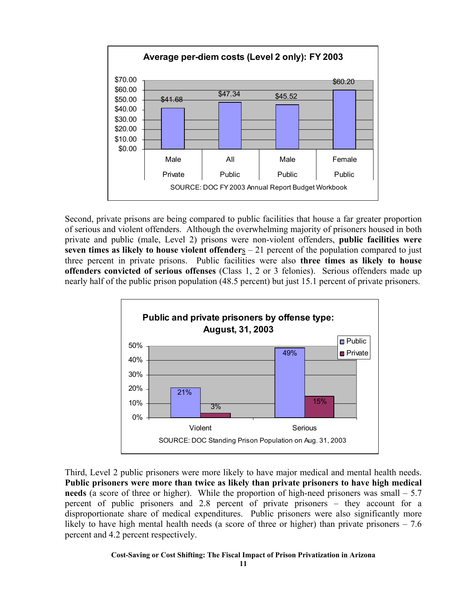

Second, private prisons are being compared to public facilities that house a far greater proportion of serious and violent offenders. Although the overwhelming majority of prisoners housed in both private and public (male, Level 2) prisons were non-violent offenders, **public facilities were seven times as likely to house violent offenders** – 21 percent of the population compared to just three percent in private prisons. Public facilities were also **three times as likely to house offenders convicted of serious offenses** (Class 1, 2 or 3 felonies). Serious offenders made up nearly half of the public prison population (48.5 percent) but just 15.1 percent of private prisoners.



Third, Level 2 public prisoners were more likely to have major medical and mental health needs. **Public prisoners were more than twice as likely than private prisoners to have high medical needs** (a score of three or higher). While the proportion of high-need prisoners was small  $-5.7$ percent of public prisoners and  $2.8$  percent of private prisoners – they account for a disproportionate share of medical expenditures. Public prisoners were also significantly more likely to have high mental health needs (a score of three or higher) than private prisoners  $-7.6$ percent and 4.2 percent respectively.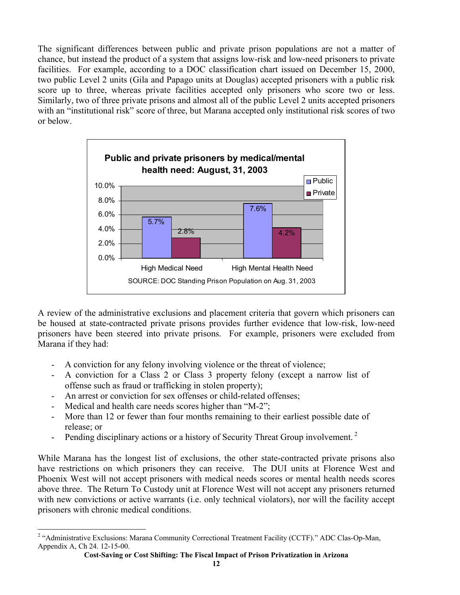The significant differences between public and private prison populations are not a matter of chance, but instead the product of a system that assigns low-risk and low-need prisoners to private facilities. For example, according to a DOC classification chart issued on December 15, 2000, two public Level 2 units (Gila and Papago units at Douglas) accepted prisoners with a public risk score up to three, whereas private facilities accepted only prisoners who score two or less. Similarly, two of three private prisons and almost all of the public Level 2 units accepted prisoners with an "institutional risk" score of three, but Marana accepted only institutional risk scores of two or below.



A review of the administrative exclusions and placement criteria that govern which prisoners can be housed at state-contracted private prisons provides further evidence that low-risk, low-need prisoners have been steered into private prisons. For example, prisoners were excluded from Marana if they had:

- A conviction for any felony involving violence or the threat of violence;
- A conviction for a Class 2 or Class 3 property felony (except a narrow list of offense such as fraud or trafficking in stolen property);
- An arrest or conviction for sex offenses or child-related offenses;
- Medical and health care needs scores higher than " $M-2$ ";
- More than 12 or fewer than four months remaining to their earliest possible date of release; or
- Pending disciplinary actions or a history of Security Threat Group involvement.<sup>2</sup>

While Marana has the longest list of exclusions, the other state-contracted private prisons also have restrictions on which prisoners they can receive. The DUI units at Florence West and Phoenix West will not accept prisoners with medical needs scores or mental health needs scores above three. The Return To Custody unit at Florence West will not accept any prisoners returned with new convictions or active warrants (i.e. only technical violators), nor will the facility accept prisoners with chronic medical conditions.

 $\overline{a}$ <sup>2</sup> "Administrative Exclusions: Marana Community Correctional Treatment Facility (CCTF)." ADC Clas-Op-Man, Appendix A, Ch 24. 12-15-00.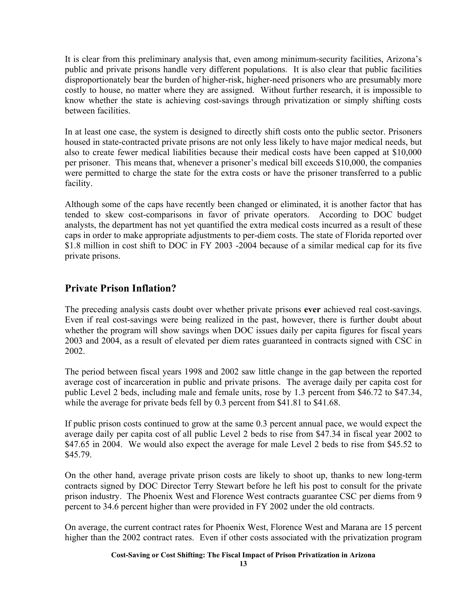It is clear from this preliminary analysis that, even among minimum-security facilities, Arizona's public and private prisons handle very different populations. It is also clear that public facilities disproportionately bear the burden of higher-risk, higher-need prisoners who are presumably more costly to house, no matter where they are assigned. Without further research, it is impossible to know whether the state is achieving cost-savings through privatization or simply shifting costs between facilities.

In at least one case, the system is designed to directly shift costs onto the public sector. Prisoners housed in state-contracted private prisons are not only less likely to have major medical needs, but also to create fewer medical liabilities because their medical costs have been capped at \$10,000 per prisoner. This means that, whenever a prisoner's medical bill exceeds \$10,000, the companies were permitted to charge the state for the extra costs or have the prisoner transferred to a public facility.

Although some of the caps have recently been changed or eliminated, it is another factor that has tended to skew cost-comparisons in favor of private operators. According to DOC budget analysts, the department has not yet quantified the extra medical costs incurred as a result of these caps in order to make appropriate adjustments to per-diem costs. The state of Florida reported over \$1.8 million in cost shift to DOC in FY 2003 -2004 because of a similar medical cap for its five private prisons.

#### **Private Prison Inflation?**

The preceding analysis casts doubt over whether private prisons **ever** achieved real cost-savings. Even if real cost-savings were being realized in the past, however, there is further doubt about whether the program will show savings when DOC issues daily per capita figures for fiscal years 2003 and 2004, as a result of elevated per diem rates guaranteed in contracts signed with CSC in 2002.

The period between fiscal years 1998 and 2002 saw little change in the gap between the reported average cost of incarceration in public and private prisons. The average daily per capita cost for public Level 2 beds, including male and female units, rose by 1.3 percent from \$46.72 to \$47.34, while the average for private beds fell by 0.3 percent from \$41.81 to \$41.68.

If public prison costs continued to grow at the same 0.3 percent annual pace, we would expect the average daily per capita cost of all public Level 2 beds to rise from \$47.34 in fiscal year 2002 to \$47.65 in 2004. We would also expect the average for male Level 2 beds to rise from \$45.52 to \$45.79.

On the other hand, average private prison costs are likely to shoot up, thanks to new long-term contracts signed by DOC Director Terry Stewart before he left his post to consult for the private prison industry. The Phoenix West and Florence West contracts guarantee CSC per diems from 9 percent to 34.6 percent higher than were provided in FY 2002 under the old contracts.

On average, the current contract rates for Phoenix West, Florence West and Marana are 15 percent higher than the 2002 contract rates. Even if other costs associated with the privatization program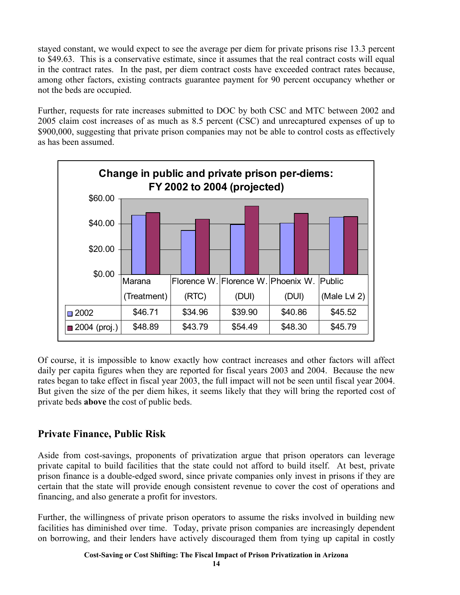stayed constant, we would expect to see the average per diem for private prisons rise 13.3 percent to \$49.63. This is a conservative estimate, since it assumes that the real contract costs will equal in the contract rates. In the past, per diem contract costs have exceeded contract rates because, among other factors, existing contracts guarantee payment for 90 percent occupancy whether or not the beds are occupied.

Further, requests for rate increases submitted to DOC by both CSC and MTC between 2002 and 2005 claim cost increases of as much as 8.5 percent (CSC) and unrecaptured expenses of up to \$900,000, suggesting that private prison companies may not be able to control costs as effectively as has been assumed.



Of course, it is impossible to know exactly how contract increases and other factors will affect daily per capita figures when they are reported for fiscal years 2003 and 2004. Because the new rates began to take effect in fiscal year 2003, the full impact will not be seen until fiscal year 2004. But given the size of the per diem hikes, it seems likely that they will bring the reported cost of private beds **above** the cost of public beds.

#### **Private Finance, Public Risk**

Aside from cost-savings, proponents of privatization argue that prison operators can leverage private capital to build facilities that the state could not afford to build itself. At best, private prison finance is a double-edged sword, since private companies only invest in prisons if they are certain that the state will provide enough consistent revenue to cover the cost of operations and financing, and also generate a profit for investors.

Further, the willingness of private prison operators to assume the risks involved in building new facilities has diminished over time. Today, private prison companies are increasingly dependent on borrowing, and their lenders have actively discouraged them from tying up capital in costly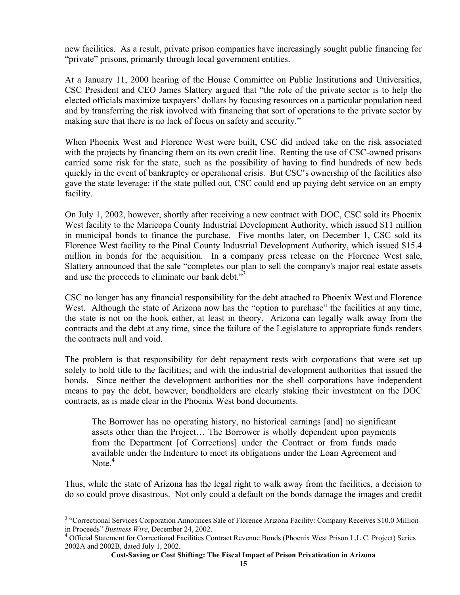new facilities. As a result, private prison companies have increasingly sought public financing for "private" prisons, primarily through local government entities.

At a January 11, 2000 hearing of the House Committee on Public Institutions and Universities, CSC President and CEO James Slattery argued that "the role of the private sector is to help the elected officials maximize taxpayers' dollars by focusing resources on a particular population need and by transferring the risk involved with financing that sort of operations to the private sector by making sure that there is no lack of focus on safety and security."

When Phoenix West and Florence West were built, CSC did indeed take on the risk associated with the projects by financing them on its own credit line. Renting the use of CSC-owned prisons carried some risk for the state, such as the possibility of having to find hundreds of new beds quickly in the event of bankruptcy or operational crisis. But CSC's ownership of the facilities also gave the state leverage: if the state pulled out, CSC could end up paying debt service on an empty facility.

On July 1, 2002, however, shortly after receiving a new contract with DOC, CSC sold its Phoenix West facility to the Maricopa County Industrial Development Authority, which issued \$11 million in municipal bonds to finance the purchase. Five months later, on December 1, CSC sold its Florence West facility to the Pinal County Industrial Development Authority, which issued \$15.4 million in bonds for the acquisition. In a company press release on the Florence West sale, Slattery announced that the sale "completes our plan to sell the company's major real estate assets and use the proceeds to eliminate our bank debt. $\ddot{3}$ 

CSC no longer has any financial responsibility for the debt attached to Phoenix West and Florence West. Although the state of Arizona now has the "option to purchase" the facilities at any time, the state is not on the hook either, at least in theory. Arizona can legally walk away from the contracts and the debt at any time, since the failure of the Legislature to appropriate funds renders the contracts null and void.

The problem is that responsibility for debt repayment rests with corporations that were set up solely to hold title to the facilities; and with the industrial development authorities that issued the bonds. Since neither the development authorities nor the shell corporations have independent means to pay the debt, however, bondholders are clearly staking their investment on the DOC contracts, as is made clear in the Phoenix West bond documents.

The Borrower has no operating history, no historical earnings [and] no significant assets other than the Project... The Borrower is wholly dependent upon payments from the Department [of Corrections] under the Contract or from funds made available under the Indenture to meet its obligations under the Loan Agreement and Note. $4$ 

Thus, while the state of Arizona has the legal right to walk away from the facilities, a decision to do so could prove disastrous. Not only could a default on the bonds damage the images and credit

 $\overline{a}$ 

<sup>&</sup>lt;sup>3</sup> "Correctional Services Corporation Announces Sale of Florence Arizona Facility: Company Receives \$10.0 Million in Proceeds" Business Wire, December 24, 2002.

Official Statement for Correctional Facilities Contract Revenue Bonds (Phoenix West Prison L.L.C. Project) Series 2002A and 2002B, dated July 1, 2002.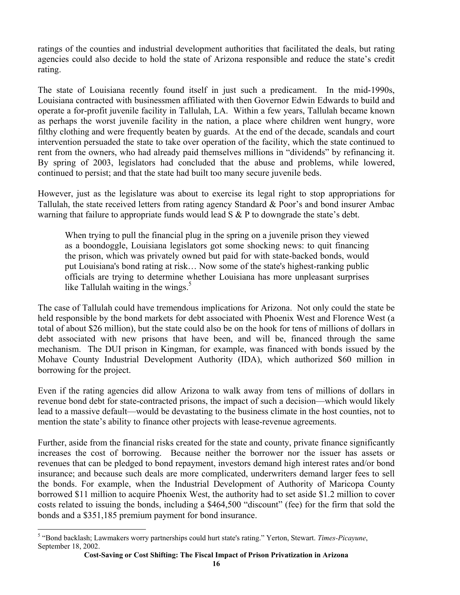ratings of the counties and industrial development authorities that facilitated the deals, but rating agencies could also decide to hold the state of Arizona responsible and reduce the state's credit rating.

The state of Louisiana recently found itself in just such a predicament. In the mid-1990s, Louisiana contracted with businessmen affiliated with then Governor Edwin Edwards to build and operate a for-profit juvenile facility in Tallulah, LA. Within a few years, Tallulah became known as perhaps the worst juvenile facility in the nation, a place where children went hungry, wore filthy clothing and were frequently beaten by guards. At the end of the decade, scandals and court intervention persuaded the state to take over operation of the facility, which the state continued to rent from the owners, who had already paid themselves millions in "dividends" by refinancing it. By spring of 2003, legislators had concluded that the abuse and problems, while lowered, continued to persist; and that the state had built too many secure juvenile beds.

However, just as the legislature was about to exercise its legal right to stop appropriations for Tallulah, the state received letters from rating agency Standard  $\&$  Poor's and bond insurer Ambac warning that failure to appropriate funds would lead  $S \& P$  to downgrade the state's debt.

When trying to pull the financial plug in the spring on a juvenile prison they viewed as a boondoggle, Louisiana legislators got some shocking news: to quit financing the prison, which was privately owned but paid for with state-backed bonds, would put Louisiana's bond rating at risk... Now some of the state's highest-ranking public officials are trying to determine whether Louisiana has more unpleasant surprises like Tallulah waiting in the wings. $5$ 

The case of Tallulah could have tremendous implications for Arizona. Not only could the state be held responsible by the bond markets for debt associated with Phoenix West and Florence West (a total of about \$26 million), but the state could also be on the hook for tens of millions of dollars in debt associated with new prisons that have been, and will be, financed through the same mechanism. The DUI prison in Kingman, for example, was financed with bonds issued by the Mohave County Industrial Development Authority (IDA), which authorized \$60 million in borrowing for the project.

Even if the rating agencies did allow Arizona to walk away from tens of millions of dollars in revenue bond debt for state-contracted prisons, the impact of such a decision—which would likely lead to a massive default—would be devastating to the business climate in the host counties, not to mention the state's ability to finance other projects with lease-revenue agreements.

Further, aside from the financial risks created for the state and county, private finance significantly increases the cost of borrowing. Because neither the borrower nor the issuer has assets or revenues that can be pledged to bond repayment, investors demand high interest rates and/or bond insurance; and because such deals are more complicated, underwriters demand larger fees to sell the bonds. For example, when the Industrial Development of Authority of Maricopa County borrowed \$11 million to acquire Phoenix West, the authority had to set aside \$1.2 million to cover costs related to issuing the bonds, including a \$464,500 "discount" (fee) for the firm that sold the bonds and a \$351,185 premium payment for bond insurance.

 $\overline{a}$ 

<sup>&</sup>lt;sup>5</sup> "Bond backlash; Lawmakers worry partnerships could hurt state's rating." Yerton, Stewart. *Times-Picayune*, September 18, 2002.